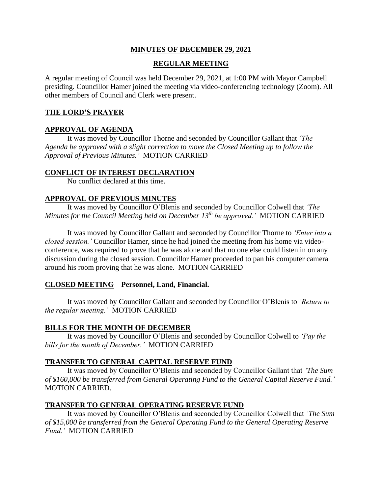#### **MINUTES OF DECEMBER 29, 2021**

#### **REGULAR MEETING**

A regular meeting of Council was held December 29, 2021, at 1:00 PM with Mayor Campbell presiding. Councillor Hamer joined the meeting via video-conferencing technology (Zoom). All other members of Council and Clerk were present.

#### **THE LORD'S PRAYER**

## **APPROVAL OF AGENDA**

It was moved by Councillor Thorne and seconded by Councillor Gallant that *'The Agenda be approved with a slight correction to move the Closed Meeting up to follow the Approval of Previous Minutes.'* MOTION CARRIED

#### **CONFLICT OF INTEREST DECLARATION**

No conflict declared at this time.

#### **APPROVAL OF PREVIOUS MINUTES**

It was moved by Councillor O'Blenis and seconded by Councillor Colwell that *'The Minutes for the Council Meeting held on December 13th be approved.'* MOTION CARRIED

It was moved by Councillor Gallant and seconded by Councillor Thorne to *'Enter into a closed session.'* Councillor Hamer, since he had joined the meeting from his home via videoconference, was required to prove that he was alone and that no one else could listen in on any discussion during the closed session. Councillor Hamer proceeded to pan his computer camera around his room proving that he was alone. MOTION CARRIED

## **CLOSED MEETING** – **Personnel, Land, Financial.**

It was moved by Councillor Gallant and seconded by Councillor O'Blenis to *'Return to the regular meeting.'* MOTION CARRIED

## **BILLS FOR THE MONTH OF DECEMBER**

It was moved by Councillor O'Blenis and seconded by Councillor Colwell to *'Pay the bills for the month of December.'* MOTION CARRIED

## **TRANSFER TO GENERAL CAPITAL RESERVE FUND**

It was moved by Councillor O'Blenis and seconded by Councillor Gallant that *'The Sum of \$160,000 be transferred from General Operating Fund to the General Capital Reserve Fund.'* MOTION CARRIED.

## **TRANSFER TO GENERAL OPERATING RESERVE FUND**

It was moved by Councillor O'Blenis and seconded by Councillor Colwell that *'The Sum of \$15,000 be transferred from the General Operating Fund to the General Operating Reserve Fund.'* MOTION CARRIED